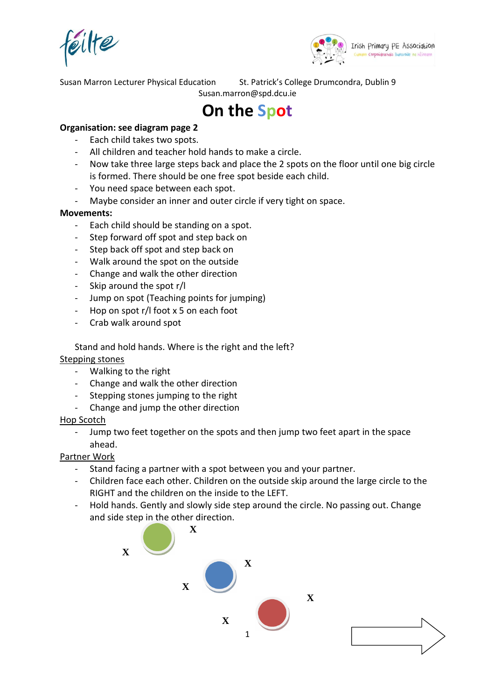éilte



Susan Marron Lecturer Physical Education St. Patrick's College Drumcondra, Dublin 9

## Susan.marron@spd.dcu.ie

# **On the Spot**

### **Organisation: see diagram page 2**

- Each child takes two spots.
- All children and teacher hold hands to make a circle.
- Now take three large steps back and place the 2 spots on the floor until one big circle is formed. There should be one free spot beside each child.
- You need space between each spot.
- Maybe consider an inner and outer circle if very tight on space.

#### **Movements:**

- Each child should be standing on a spot.
- Step forward off spot and step back on
- Step back off spot and step back on
- Walk around the spot on the outside
- Change and walk the other direction
- Skip around the spot r/l
- Jump on spot (Teaching points for jumping)
- Hop on spot r/l foot x 5 on each foot
- Crab walk around spot

Stand and hold hands. Where is the right and the left?

Stepping stones

- Walking to the right
- Change and walk the other direction
- Stepping stones jumping to the right
- Change and jump the other direction

#### Hop Scotch

Jump two feet together on the spots and then jump two feet apart in the space ahead.

#### Partner Work

- Stand facing a partner with a spot between you and your partner.
- Children face each other. Children on the outside skip around the large circle to the RIGHT and the children on the inside to the LEFT.
- Hold hands. Gently and slowly side step around the circle. No passing out. Change and side step in the other direction.